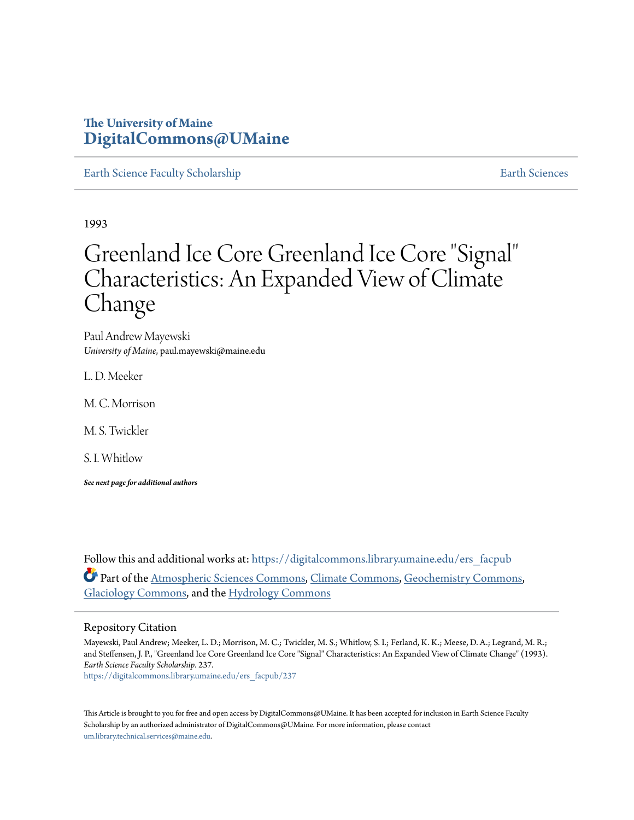# **The University of Maine [DigitalCommons@UMaine](https://digitalcommons.library.umaine.edu?utm_source=digitalcommons.library.umaine.edu%2Fers_facpub%2F237&utm_medium=PDF&utm_campaign=PDFCoverPages)**

[Earth Science Faculty Scholarship](https://digitalcommons.library.umaine.edu/ers_facpub?utm_source=digitalcommons.library.umaine.edu%2Fers_facpub%2F237&utm_medium=PDF&utm_campaign=PDFCoverPages) **[Earth Sciences](https://digitalcommons.library.umaine.edu/ers?utm_source=digitalcommons.library.umaine.edu%2Fers_facpub%2F237&utm_medium=PDF&utm_campaign=PDFCoverPages)** 

1993

# Greenland Ice Core Greenland Ice Core "Signal" Characteristics: An Expanded View of Climate Change

Paul Andrew Mayewski *University of Maine*, paul.mayewski@maine.edu

L. D. Meeker

M. C. Morrison

M. S. Twickler

S. I. Whitlow

*See next page for additional authors*

Follow this and additional works at: [https://digitalcommons.library.umaine.edu/ers\\_facpub](https://digitalcommons.library.umaine.edu/ers_facpub?utm_source=digitalcommons.library.umaine.edu%2Fers_facpub%2F237&utm_medium=PDF&utm_campaign=PDFCoverPages) Part of the [Atmospheric Sciences Commons,](http://network.bepress.com/hgg/discipline/187?utm_source=digitalcommons.library.umaine.edu%2Fers_facpub%2F237&utm_medium=PDF&utm_campaign=PDFCoverPages) [Climate Commons,](http://network.bepress.com/hgg/discipline/188?utm_source=digitalcommons.library.umaine.edu%2Fers_facpub%2F237&utm_medium=PDF&utm_campaign=PDFCoverPages) [Geochemistry Commons,](http://network.bepress.com/hgg/discipline/157?utm_source=digitalcommons.library.umaine.edu%2Fers_facpub%2F237&utm_medium=PDF&utm_campaign=PDFCoverPages) [Glaciology Commons](http://network.bepress.com/hgg/discipline/159?utm_source=digitalcommons.library.umaine.edu%2Fers_facpub%2F237&utm_medium=PDF&utm_campaign=PDFCoverPages), and the [Hydrology Commons](http://network.bepress.com/hgg/discipline/1054?utm_source=digitalcommons.library.umaine.edu%2Fers_facpub%2F237&utm_medium=PDF&utm_campaign=PDFCoverPages)

# Repository Citation

Mayewski, Paul Andrew; Meeker, L. D.; Morrison, M. C.; Twickler, M. S.; Whitlow, S. I.; Ferland, K. K.; Meese, D. A.; Legrand, M. R.; and Steffensen, J. P., "Greenland Ice Core Greenland Ice Core "Signal" Characteristics: An Expanded View of Climate Change" (1993). *Earth Science Faculty Scholarship*. 237.

[https://digitalcommons.library.umaine.edu/ers\\_facpub/237](https://digitalcommons.library.umaine.edu/ers_facpub/237?utm_source=digitalcommons.library.umaine.edu%2Fers_facpub%2F237&utm_medium=PDF&utm_campaign=PDFCoverPages)

This Article is brought to you for free and open access by DigitalCommons@UMaine. It has been accepted for inclusion in Earth Science Faculty Scholarship by an authorized administrator of DigitalCommons@UMaine. For more information, please contact [um.library.technical.services@maine.edu](mailto:um.library.technical.services@maine.edu).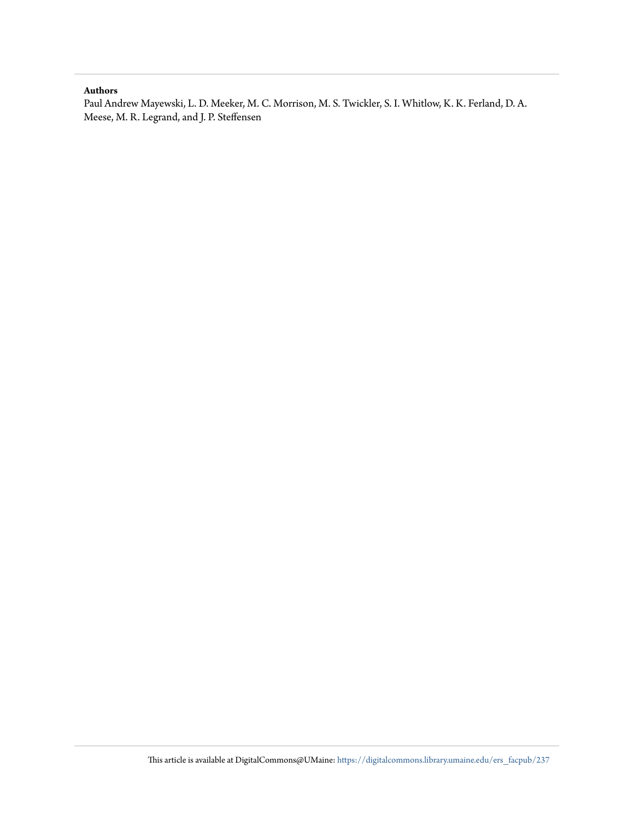# **Authors**

Paul Andrew Mayewski, L. D. Meeker, M. C. Morrison, M. S. Twickler, S. I. Whitlow, K. K. Ferland, D. A. Meese, M. R. Legrand, and J. P. Steffensen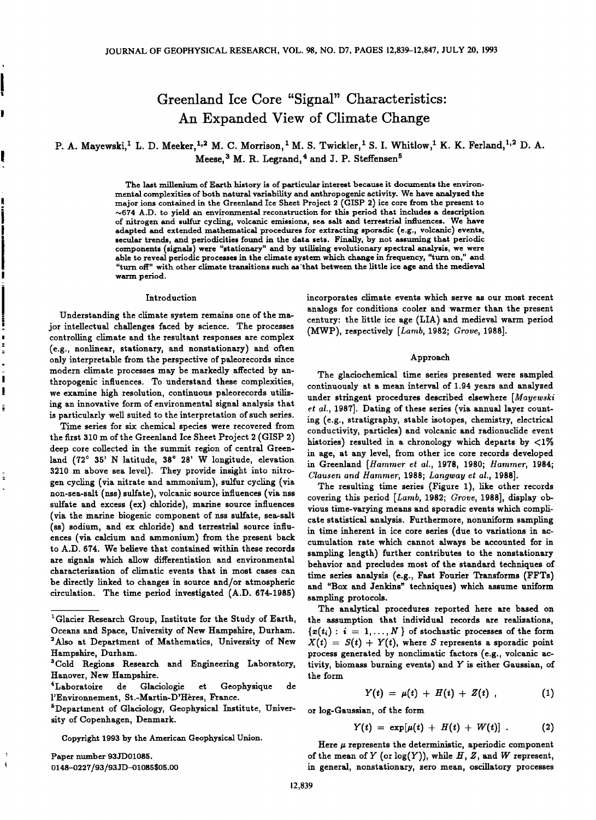# **Greenland Ice Core "Signal" Characteristics' An Expanded View of Climate Change**

P. A. Mayewski,<sup>1</sup> L. D. Meeker,<sup>1,2</sup> M. C. Morrison, <sup>1</sup> M. S. Twickler, <sup>1</sup> S. I. Whitlow, <sup>1</sup> K. K. Ferland, <sup>1,2</sup> D. A. Meese,<sup>3</sup> M. R. Legrand,<sup>4</sup> and J. P. Steffensen<sup>5</sup>

> **The last millenium of Earth history is of particular interest because it documents the environmental complexities of both natuxal variability and anthropogenic activity. We have analyzed the major ions contained in the Greenland Ice Sheet Project 2 (GISP 2) ice core from the present to**   $\sim$ 674 A.D. to yield an environmental reconstruction for this period that includes a description **of nitrogen and sulfur cycling, volcanic emissions, sea salt and terrestrial influences. We have adapted and extended mathematical procedures for extracting sporadic (e.g., volcanic) events, secular trends, and periodicities found in the data sets. Finally, by not assuming that periodic components (signals) were "stationary" and by utilizing evolutionary spectral analysis, we were able to reveal periodic processes in the climate system which change in frequency, "turn on," and "turn off" with other climate transitions such as'that between the little ice age and the medieval warm period.**

#### **Introduction**

**Understanding the climate system remains one of the major intellectual challenges faced by science. The processes controlling climate and the resultant responses are complex (e.g., nonlinear, stationary, and nonstationary) and often only interpretable from the perspective of paleorecords since modern climate processes may be markedly affected by anthropogenic influences. To understand these complexities, we examine high resolution, continuous paleorecords utilizing an innovative form of environmental signal analysis that is particularly well suited to the interpretation of such series.** 

**Time series for six chemical species were recovered from the first 310 m of the Greenland Ice Sheet Project 2 (GISP 2) deep core collected in the summit region of central Greenland (720 35' N latitude, 380 28' W longitude, elevation 3210 m above sea level). They provide insight into nitrogen cycling (via nitrate and ammonium), sulfur cycling (via**  non-sea-salt (nss) sulfate), volcanic source influences (via nss **sulfate and excess (ex) chloride), marine source influences**  (via the marine biogenic component of nss sulfate, sea-salt (ss) sodium, and ex chloride) and terrestrial source influ**ences (via calcium and ammonium) from the present back to A.D. 674. We believe that contained within these records are signals which allow differentiation and environmental characterization of climatic events that in most cases can be directly linked to changes in source and/or atmospheric circulation. The time period investigated (A.D. 674-1985)** 

**Paper number 93JD01085. 0148-0227/93/93JD-01085505.00** 

 $\mathbf{f}$ 

**incorporates climate events which serve as our most recent analogs for conditions cooler and warmer than the present century: the little ice age (LIA) and medieval warm period (MWP), respectively [Lamb, 1982; Grove, 1988].** 

#### **Approach**

**The glaciochemical time series presented were sampled continuously at a mean interval of 1.94 years and analyzed under stringent procedures described elsewhere [Mayewski et al., 1987]. Dating of these series (via annual layer counting (e.g., stratigraphy, stable isotopes, chemistry, electrical conductivity, particles) and volcanic and radionuclide event histories) resulted in a chronology which departs by <1% in age, at any level, from other ice core records developed in Greenland [Hammer et al., 1978, 1980; Hammer, 1984; Clausen and Hammer, 1988; Langway et al., 1988].** 

**The resulting time series (Figure 1), like other records covering this period [Lamb, 1982; Grove, 1988], display obvious time-varying means and sporadic events which complicate statistical analysis. Furthermore, nonuniform sampling in time inherent in ice core series (due to variations in accumulation rate which cannot always be accounted for in sampling length) further contributes to the nonstationary behavior and precludes most of the standard techniques of**  time series analysis (e.g., Fast Fourier Transforms (FFTs) **and "Box and Jenkins" techniques) which assume uniform sampling protocols.** 

**The analytical procedures reported here are based on the assumption that individual records are realizations,**   $\{x(t_i): i = 1, ..., N\}$  of stochastic processes of the form  $X(t) = S(t) + Y(t)$ , where S represents a sporadic point **process generated by nonclimatic factors (e.g., volcanic activity, biomass burning events) and Y is either Gaussian, of the form** 

$$
Y(t) = \mu(t) + H(t) + Z(t) \t\t(1)
$$

**or log-Gaussian, of the form** 

$$
Y(t) = \exp[\mu(t) + H(t) + W(t)] . \qquad (2)
$$

Here  $\mu$  represents the deterministic, aperiodic component of the mean of  $Y$  (or  $log(Y)$ ), while  $H, Z$ , and  $W$  represent, **in general, nonstationary, zero mean, oscillatory processes** 

<sup>&</sup>lt;sup>1</sup> Glacier Research Group, Institute for the Study of Earth, **Oceans and Space, University of New Hampshire, Durham. 2Also at Department of Mathematics, University of New Hampshire, Durham.** 

**a Cold Regions Research and Engineering Laboratory, Hanover, New Hampshire.** 

et Geophysique de l'Environnement, St.-Martin-D'Hères, France.

**<sup>•</sup>Department of Glaciology, Geophysical Institute, University of Copenhagen, Denmark.** 

**Copyright 1993 by the American Geophysical Union.**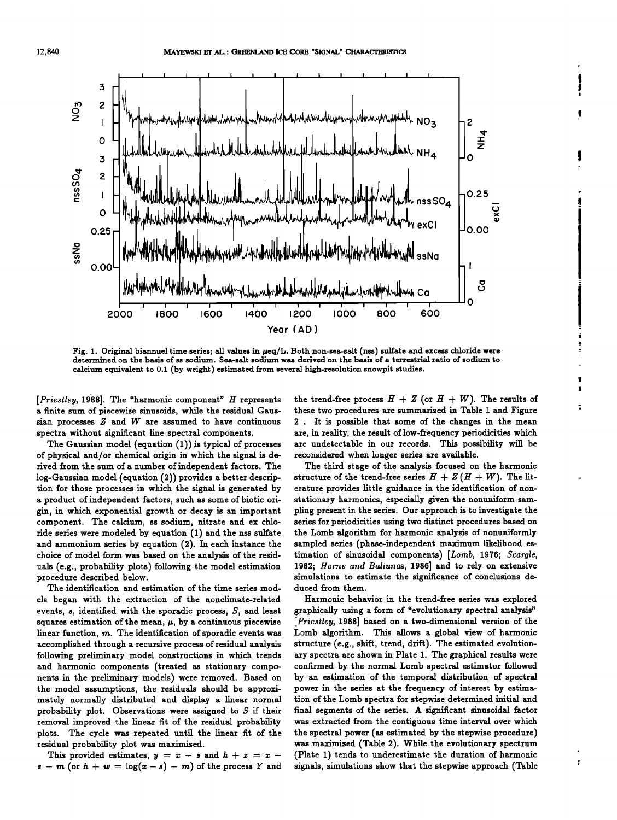

Fig. 1. Original biannuel time series; all values in  $\mu$ eq/L. Both non-sea-salt (nss) sulfate and excess chloride were **determined on the basis of ss sodium. Sea-salt sodium was derived on the basis of a terrestrial ratio of sodium to calcium equivalent to 0.1 (by weight) estimated from several high-resolution snowpit studies.** 

**[Priestley, 1988]. The "harmonic component" H represents a finite sum of piecewise sinusolds, while the residual Gaussian processes Z and W are assumed to have continuous spectra without significant line spectral components.** 

The Gaussian model (equation (1)) is typical of processes **of physical and/or chemical origin in which the signal is derived from the sum of a number of independent factors. The log-Gaussian model (equation (2)) provides a better description for those processes in which the signal is generated by**  a product of independent factors, such as some of biotic ori**gin, in which exponential growth or decay is an important component. The calcium, ss sodium, nitrate and ex chloride series were modeled by equation (1) and the nss sulfate and ammonium series by equation (2). In each instance the choice of model form was based on the analysis of the residuals (e.g., probability plots) following the model estimation procedure described below.** 

**The identification and estimation of the time series models began with the extraction of the nonclimate-related events, s, identified with the sporadic process, S, and least**  squares estimation of the mean,  $\mu$ , by a continuous piecewise **linear function, m. The identification of sporadic events was accomplished through a recurslye process of residual analysis following preliminary model constructions in which trends and harmonic components (treated as stationary components in the preliminary models) were removed. Based on the model assumptions, the residuals should be approximately normally distributed and display a linear normal probability plot. Observations were assigned to S if their removal improved the linear fit of the residual probability plots. The cycle was repeated until the linear fit of the residual probability plot was maximized.** 

This provided estimates,  $y = x - s$  and  $h + z = x - z$  $s - m$  (or  $h + w = \log(x - s) - m$ ) of the process Y and the trend-free process  $H + Z$  (or  $H + W$ ). The results of these two procedures are summarized in Table 1 and Figure **2 . It is possible that some of the changes in the mean are, in reality, the result of low-frequency periodicities which are undetectable in our records. This possibility will be reconsidered when longer series are available.** 

Ė

Ť

**The third stage of the analysis focused on the harmonic**  structure of the trend-free series  $H + Z(H + W)$ . The lit**erature provides little guidance in the identification of nonstationary harmonics, especially given the nonuniform sampling present in the series. Our approach is to investigate the series for periodicities using two distinct procedures based on the Lomb algorithm for harmonic analysis of nonuniformly sampled series (phase-independent maximum likelihood estimation of sinusoidal components) [Lomb, 1976; \$cargle, 1982; Horne and Baliunas, 1986] and to rely on extensive simulations to estimate the significance of conclusions deduced from them.** 

**Harmonic behavior in the trend-free series was explored graphically using a form of "evolutionary spectral analysis" [Priestley, 1988] based on a two-dimensional version of the Lomb algorithm. This allows a global view of harmonic structure (e.g., shift, trend, drift). The estimated evolutionary spectra are shown in Plate 1. The graphical results were confirmed by the normal Lomb spectral estimator followed by an estimation of the temporal distribution of spectral power in the series at the frequency of interest by estimation of the Lomb spectra for stepwise determined initial and final segments of the series. A significant sinusoidal factor was extracted from the contiguous time interval over which the spectral power (as estimated by the stepwise procedure) was maximized (Table 2). While the evolutionary spectrum (Plate 1) tends to underestimate the duration of harmonic signals, simulations show that the stepwise approach (Table**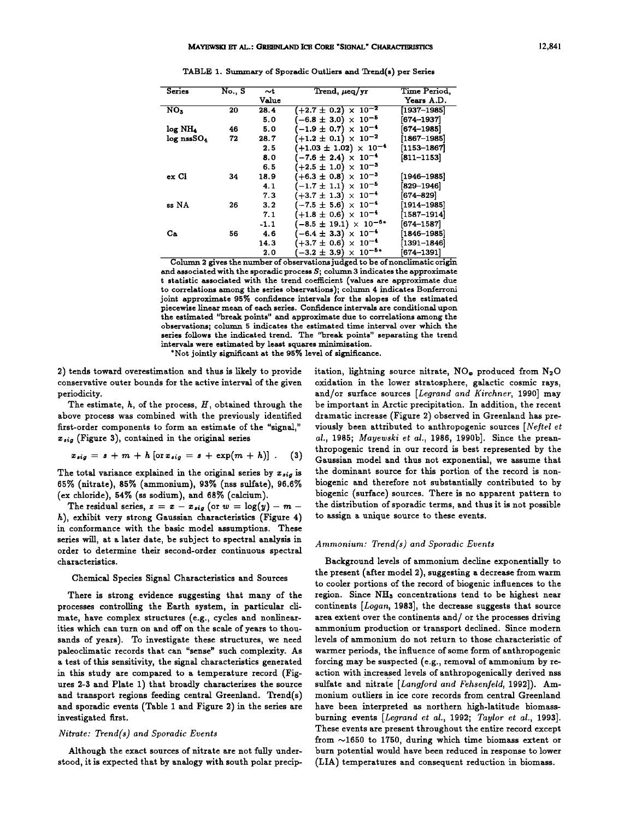| Series                   | No., S | $\sim$ t | Trend, $\mu$ eq/yr                          | Time Period.                          |
|--------------------------|--------|----------|---------------------------------------------|---------------------------------------|
|                          |        | Value    |                                             | Years A.D.                            |
| NO <sub>3</sub>          | 20     | 28.4     | $( +2.7 \pm 0.2 ) \times 10^{-2}$           | $\left\lceil 1937{-}1985\right\rceil$ |
|                          |        | 5.0      | $(-6.8 \pm 3.0) \times 10^{-5}$             | [674–1937]                            |
| log NH <sub>4</sub>      | 46     | 5.0      | $-1.9 \pm 0.7$ $\times$ 10 <sup>-4</sup>    | [674–1985]                            |
| $log$ nssSO <sub>4</sub> | 72     | 28.7     | $(+1.2 \pm 0.1) \times 10^{-2}$             | $[1867 - 1985]$                       |
|                          |        | 2.5      | $+1.03 \pm 1.02$ ) $\times 10^{-4}$         | $[1153 - 1867]$                       |
|                          |        | 8.0      | $(-7.6 \pm 2.4) \times 10^{-4}$             | $[811 - 1153]$                        |
|                          |        | 6.5      | $(+2.5 \pm 1.0) \times 10^{-3}$             |                                       |
| ex Cl                    | 34     | 18.9     | $(+6.3 \pm 0.8) \times 10^{-3}$             | [1946–1985]                           |
|                          |        | 4.1      | $(-1.7 \pm 1.1) \times 10^{-5}$             | $[829 - 1946]$                        |
|                          |        | 7.3      | $(+3.7 \pm 1.3) \times 10^{-4}$             | [674–829]                             |
| ss NA                    | 26     | 3.2      | $(-7.5 \pm 5.6) \times 10^{-4}$             | [1914–1985]                           |
|                          |        | 7.1      | $+1.8 \pm 0.6$ ) $\times 10^{-4}$           | [1587–1914]                           |
|                          |        | -1.1     | $-8.5 \pm 19.1$ $\times$ 10 <sup>-6*</sup>  | [674–1587]                            |
| Cа                       | 56     | 4.6      | $-6.4 \pm 3.3 \times 10^{-4}$               | $[1846 - 1985]$                       |
|                          |        | 14.3     | $\times$ 10 <sup>-4</sup><br>$+3.7 \pm 0.6$ | $\left[1391 - 1846\right]$            |
|                          |        | 2.0      | $\times 10^{-5*}$<br>$-3.2 \pm 3.9$         | 674–1391]                             |

TABLE 1. Summary of Sporadic Outliers and Trend(s) per Series

**Column 2 gives the number of observations judged to be of nonclimatic origin and associated with the sporadic process \$; column 3 indicates the approximate t statistic associated with the trend coefficient (values are approximate due to correlations among the series observations); column 4 indicates Bonferroni joint approximate 95% confidence intervals for the slopes of the estimated piecewise linear mean of each series. Confidence intervals are conditional upon the estimated "break points" and approximate due to correlations among the observations; column 5 indicates the estimated time interval over which the series follows the indicated trend. The "break points" separating the trend intervals were estimated by least squares minimization.** 

**\*Not jointly significant at the 95% level of significance.** 

**2) tends toward overestimation and thus is likely to provide conservative outer bounds for the active interval of the given periodicity.** 

**The estimate, h, of the process, H, obtained through the above process was combined with the previously identified first-order components to form an estimate of the "signal," Z,ig (Figure 3), contained in the original series** 

$$
x_{sig} = s + m + h \left[\text{or } x_{sig} = s + \exp(m + h)\right]. \tag{3}
$$

**The total variance explained in the original series by Z,ig is 65% (nitrate), 85% (ammonium), 93% (riss sulfate), 96.6%**  (ex chloride), 54% (ss sodium), and 68% (calcium).

The residual series,  $z = x - x_{sig}$  (or  $w = log(y) - m$ **h), exhibit very strong Gaussian characteristics (Figure 4) in conformance with the basic model assumptions. These series will, at a later date, be subject to spectral analysis in order to determine their second-order continuous spectral characteristics.** 

# **Chemical Species Signal Characteristics and Sources**

**There is strong evidence suggesting that many of the processes controlling the Earth system, in particular climate, have complex structures (e.g., cycles and nonlinearities which can turn on and off on the scale of years to thousands of years). To investigate these structures, we need paleoclimatic records that can "sense" such complexity. As a test of this sensitivity, the signal characteristics generated in this study are compared to a temperature record (Figures 2-3 and Plate 1) that broadly characterizes the source and transport regions feeding central Greenland. Trend(s) and sporadic events (Table 1 and Figure 2) in the series are investigated first.** 

# **Nitrate: Trend(s) and Sporadic Events**

**Although the exact sources of nitrate are not fully understood, it is expected that by analogy with south polar precip-** itation, lightning source nitrate, NO<sub>®</sub> produced from N<sub>2</sub>O **oxidation in the lower stratosphere, galactic cosmic rays, and/or surface sources [Legrand and Kirchner, 1990] may be important in Arctic precipitation. In addition, the recent dramatic increase (Figure 2) observed in Greenland has pre**viously been attributed to anthropogenic sources [Neftel et **al., 1985; Mayewski et al., 1986, 1990b]. Since the preanthropogenic trend in our record is best represented by the Gaussian model and thus not exponential, we assume that the dominant source for this portion of the record is nonbiogenic and therefore not substantially contributed to by biogenic (surface) sources. There is no apparent pattern to the distribution of sporadic terms, and thus it is not possible to assign a unique source to these events.** 

#### **Ammonium: Trend(s) and Sporadic Events**

**Background levels of ammonium decline exponentially to the present (after model 2), suggesting adecrease from warm to cooler portions of the record of biogenic influences to the**  region. Since NH<sub>3</sub> concentrations tend to be highest near **continents [Logan, 1983], the decrease suggests that source area extent over the continents and/or the processes driving ammonium production or transport declined. Since modern levels of ammonium do not return to those characteristic of warmer periods, the influence of some form of anthropogenic forcing may be suspected (e.g., removal of ammonium by reaction with increased levels of anthropogenically derived nss**  sulfate and nitrate [Langford and Fehsenfeld, 1992]). Am**monium outliers in ice core records from central Greenland have been interpreted as northern high-latitude biomassburning events [Legrand et al., 1992; Taylor et al., 1993]. These events are present throughout the entire record except from •1650 to 1750, during which time biomass extent or burn potential would have been reduced in response to lower (LIA) temperatures and consequent reduction in biomass.**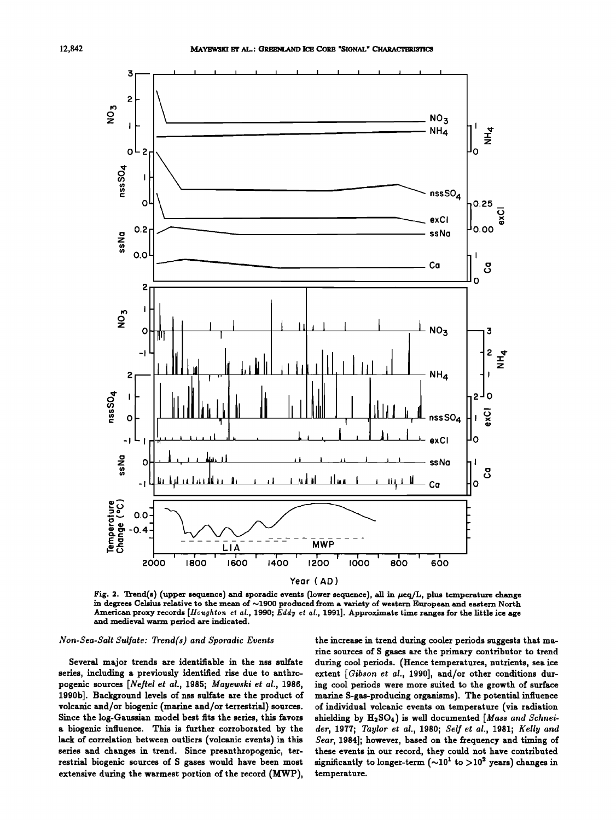

Fig. 2. Trend(s) (upper sequence) and sporadic events (lower sequence), all in  $\mu$ eq/L, plus temperature change in degrees Celsius relative to the mean of ~1900 produced from a variety of western European and eastern North American proxy records [Houghton et al., 1990; Eddy et al., 1991]. Approximate time ranges for the little ice age and medieval warm period are indicated.

# Non-Sea-Salt Sulfate: Trend(s) and Sporadic Events

Several major trends are identifiable in the nss sulfate series, including a previously identified rise due to anthropogenic sources [Neftel et al., 1985; Mayewski et al., 1986, 1990b]. Background levels of nss sulfate are the product of volcanic and/or biogenic (marine and/or terrestrial) sources. Since the log-Gaussian model best fits the series, this favors a biogenic influence. This is further corroborated by the lack of correlation between outliers (volcanic events) in this series and changes in trend. Since preanthropogenic, terrestrial biogenic sources of S gases would have been most extensive during the warmest portion of the record (MWP).

the increase in trend during cooler periods suggests that marine sources of S gases are the primary contributor to trend during cool periods. (Hence temperatures, nutrients, sea ice extent [Gibson et al., 1990], and/or other conditions during cool periods were more suited to the growth of surface marine S-gas-producing organisms). The potential influence of individual volcanic events on temperature (via radiation shielding by H<sub>2</sub>SO<sub>4</sub>) is well documented [Mass and Schneider, 1977; Taylor et al., 1980; Self et al., 1981; Kelly and Sear, 1984]; however, based on the frequency and timing of these events in our record, they could not have contributed significantly to longer-term ( $\sim 10^1$  to  $> 10^2$  years) changes in temperature.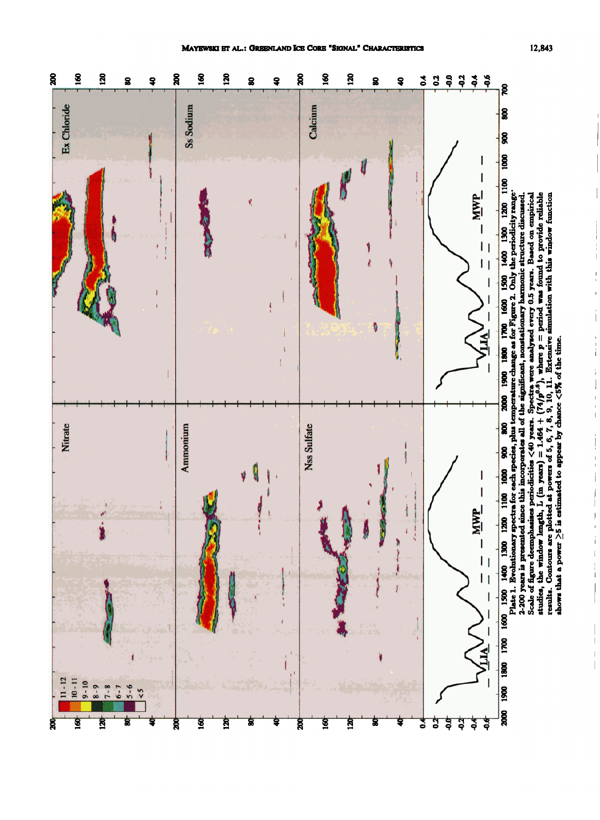$\frac{1}{1}$ 

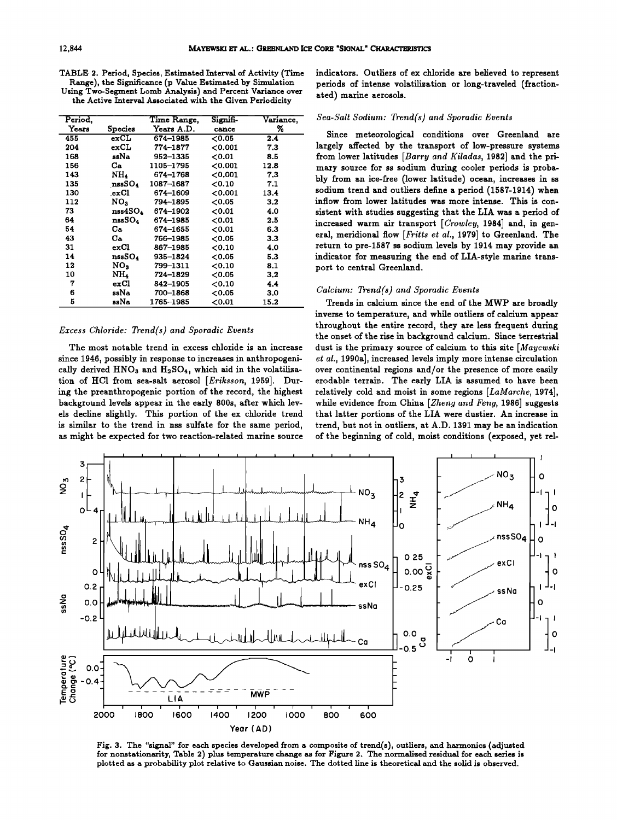| TABLE 2. Period. Species. Estimated Interval of Activity (Time) |
|-----------------------------------------------------------------|
| Range), the Significance (p Value Estimated by Simulation       |
| Using Two-Segment Lomb Analysis) and Percent Variance over      |
| the Active Interval Associated with the Given Periodicity       |
|                                                                 |

| Period, |                    | Time Range, | Signifi-  |           |
|---------|--------------------|-------------|-----------|-----------|
|         |                    |             |           | Variance, |
| Years   | Species            | Years A.D.  | cance     | %         |
| 455     | exCL               | 674-1985    | 0.05      | 2.4       |
| 204     | exCL               | 774-1877    | 0.001     | 7.3       |
| 168     | ssNa               | 952-1335    | 0.01      | 8.5       |
| 156     | Ca.                | 1105-1795   | 0.001     | 12.8      |
| 143     | NH4                | 674-1768    | 0.001     | 7.3       |
| 135     | nssSO <sub>4</sub> | 1087-1687   | 0.10      | 7.1       |
| 130     | exCl               | 674-1609    | 0.001     | 13.4      |
| 112     | NO.                | 794~1895    | 0.05      | 3.2       |
| 73      | nss4SO4            | 674-1902    | 0.01      | 4.0       |
| 64      | nssSO4             | 674-1985    | 0.01      | 2.5       |
| 54      | Cа                 | 674–1655    | 0.01      | 6.3       |
| 43      | Ca.                | 766-1985    | 0.05      | 3.3       |
| 31      | exCl               | 867-1985    | 0.10      | 4.0       |
| 14      | nssSO4             | 935-1824    | 0.05      | 5.3       |
| 12      | NO,                | 799–1311    | 0.10      | 8,1       |
| 10      | NH4                | 724–1829    | ${<}0.05$ | 3.2       |
| 7       | exCl               | 842-1905    | 0.10      | 4.4       |
| 6       | ssNa               | 700-1868    | 0.05      | 3.0       |
| 5       | ssNa               | 1765–1985   | 0.01      | 15.2      |

# **Excess Chloride: Trend(s) and Sporadic Events**

**The most notable trend in excess chloride is an increase since 1946, possibly in response to increases in anthropogeni**cally derived HNO<sub>3</sub> and H<sub>2</sub>SO<sub>4</sub>, which aid in the volatiliza**tion of HC1 from sea-salt aerosol [Eriksson, 1959]. During the preanthropogenic portion of the record, the highest background levels appear in the early 800s, after which levels decline slightly. This portion of the ex chloride trend**  is similar to the trend in nss sulfate for the same period, **as might be expected for two reaction-related marine source**  **indicators. Outliers of ex chloride are believed to represent periods of intense volatilization or long-traveled (fractionated) marine aerosols.** 

#### **Sea-Salt Sodium: Trend(s) and Sporadic Events**

**Since meteorological conditions over Greenland are largely affected by the transport of low-pressure systems from lower latitudes [Barry and Kiladas, 1982] and the primary source for ss sodium during cooler periods is probably from an ice-free (lower latitude) ocean, increases in ss sodium trend and outliers define a period (1587-1914) when inflow from lower latitudes was more intense. This is consistent with studies suggesting that the LIA was a period of**  increased warm air transport [Crowley, 1984] and, in gen**eral, meridional flow [Fritts et al., 1979] to Greenland. The return to pre-1587 ss sodium levels by 1914 may provide an indicator for measuring the end of LIA-style marine transport to central Greenland.** 

## **Calcium: Trend(s) and Sporadic Events**

**Trends in calcium since the end of the MWP are broadly inverse to temperature, and while outliers of calcium appear throughout the entire record, they are less frequent during the onset of the rise in background calcium. Since terrestrial dust is the primary source of calcium to this site [Mayewski et al., 1990a], increased levels imply more intense circulation over continental regions and/or the presence of more easily erodable terrain. The early LIA is assumed to have been relatively cold and moist in some regions [LaMarche, 1974], while evidence from China [Zheng and Feng, 1986] suggests that latter portions of the LIA were dustier. An increase in trend, but not in outliers, at A.D. 1391 may be an indication of the beginning of cold, moist conditions (exposed, yet tel-**



Fig. 3. The "signal" for each species developed from a composite of trend(s), outliers, and harmonics (adjusted **for nonstationaxity, Table 2) plus temperature change as for Figure 2. The normalized residual for each series is plotted as a probability plot relative to Gaussian noise. The dotted line is theoretical and the solid is observed.**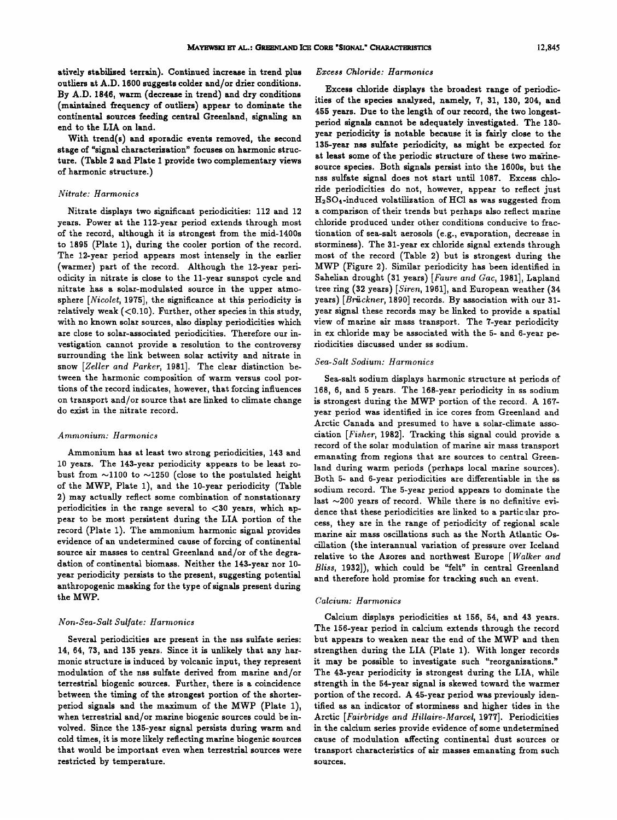**atively stabilized terrain). Continued increase in trend plus outliers at A.D. 1600 suggests colder and/or drier conditions. By A.D. 1846, warm (decrease in trend) and dry conditions (maintained frequency of outliers) appear to dominate the continental sources feeding central Greenland, signaling an end to the LIA on land.** 

**With trend(s) and sporadic events removed, the second stage of "signal characterization" focuses on harmonic structure. (Table 2 and Plate 1 provide two complementary views of harmonic structure.)** 

# **Nitrate: Harmonics**

**Nitrate displays two significant periodicities: 112 and 12 years. Power at the 112-year period extends through most of the record, although it is strongest from the mid-1400s to 1895 (Plate 1), during the cooler portion of the record. The 12-year period appears most intensely in the earlier (warmer) part of the record. Although the 12-year periodicity in nitrate is close to the l 1-year sunspot cycle and nitrate has a solar-modulated source in the upper atmosphere [Nicolet, 1975], the significance at this periodicity is relatively weak (<0.10). Further, other species in this study, with no known solar sources, also display periodicities which are close to solar-associated periodicities. Therefore our investigation cannot provide a resolution to the controversy surrounding the link between solar activity and nitrate in snow [Zeller and Parker, 1981]. The clear distinction between the harmonic composition of warm versus cool portions of the record indicates, however, that forcing influences on transport and/or source that are linked to climate change do exist in the nitrate record.** 

#### **Ammonium: Harmonics**

**Ammonium has at least two strong periodicities, 143 and 10 years. The 143-year periodicity appears to be least ro**bust from  $\sim$ 1100 to  $\sim$ 1250 (close to the postulated height **of the MWP, Plate 1), and the 10-year periodicity (Table 2) may actually reflect some combination of nonstationary periodicities in the range several to <30 years, which appear to be most persistent during the LIA portion of the record (Plate 1). The ammonium harmonic signal provides evidence of an undetermined cause of forcing of continental source air masses to central Greenland and/or of the degradation of continental biomass. Neither the 143-year nor 10 year periodicity persists to the present, suggesting potential anthropogenic masking for the type of signals present during the MWP.** 

#### **Non-Sea-Salt Sulfate: Harmonics**

**Several periodicities are present in the nss sulfate series:**  14, 64, 73, and 135 years. Since it is unlikely that any har**monic structure is induced by volcanic input, they represent modulation of the nss sulfate derived from marine and/or terrestrial biogenic sources. Further, there is a coincidence between the timing of the strongest portion of the shorterperiod signals and the maximum of the MWP (Plate 1), when terrestrial and/or marine biogenic sources could be involved. Since the 135-year signal persists during warm and cold times, it is more likely reflecting marine biogenic sources that would be important even when terrestrial sources were restricted by temperature.** 

# **Excess Chloride: Harmonics**

**Excess chloride displays the broadest range of periodicities of the species analyzed, namely, 7, 31, 130, 204, and 455 years. Due to the length of our record, the two longestperiod signals cannot be adequately investigated. The 130 year periodicity is notable because it is fairly close to the 135-year nss sulfate periodicity, as might be expected for at least some of the periodic structure of these two marinesource species. Both signals persist into the 1600s, but the nss sulfate signal does not start until 1087. Excess chloride periodicities do not, however, appear to reflect just H2SO•-induced volatilization of HC1 as was suggested from a comparison of their trends but perhaps also reflect marine chloride produced under other conditions conducive to fracrionation of sea-salt aerosols (e.g., evaporation, decrease in storminess). The 31-year ex chloride signal extends through most of the record (Table 2) but is strongest during the MWP (Figure 2). Similar periodicity has been identified in Sahelian drought (31 years) [Faure and Gac, 1981], Lapland tree ring (32 years)[Siren, 1961], and European weather (34 years) [Briickner, 1890] records. By association with our 31 year signal these records may be linked to provide a spatial view of marine air mass transport. The 7-year periodicity in ex chloride may be associated with the 5- and 6-year periodicities discussed under ss sodium.** 

# **Sea-Salt Sodium: Harmonics**

**Sea-salt sodium displays harmonic structure at periods of 168, 6, and 5 years. The 168-year periodicity in ss sodium is strongest during the MWP portion of the record. A 167 year period was identified in ice cores from Greenland and Arctic Canada and presumed to have a solar-climate association [Fisher, 1982]. Tracking this signal could provide a record of the solar modulation of marine air mass transport emanating from regions that are sources to central Greenland during warm periods (perhaps local marine sources). Both 5- and 6-year periodicities are differentiable in the ss sodium record. The 5-year period appears to dominate the**  last  $\sim$ 200 years of record. While there is no definitive evidence that these periodicities are linked to a particular pro**cess, they are in the range of periodicity of regional scale marine air mass oscillations such as the North Atlantic Oscillation (the interannual variation of pressure over Iceland relative to the Azores and northwest Europe [Walker and Bliss, 1932]), which could be "felt" in central Greenland and therefore hold promise for tracking such an event.** 

# **Calcium: Harmonics**

**Calcium displays periodicities at 156, 54, and 43 years. The 156-year period in calcium extends through the record but appears to weaken near the end of the MWP and then strengthen during the LIA (Plate 1). With longer records it may be possible to investigate such "reorganizations." The 43-year periodicity is strongest during the LIA, while strength in the 54-year signal is skewed toward the warmer portion of the record. A 45-year period was previously identified as an indicator of storminess and higher tides in the Arctic [Fairbridge and Hillaire-Marcel, 1977]. Periodicities in the calcium series provide evidence of some undetermined cause of modulation affecting continental dust sources or transport characteristics of air masses emanating from such sources.**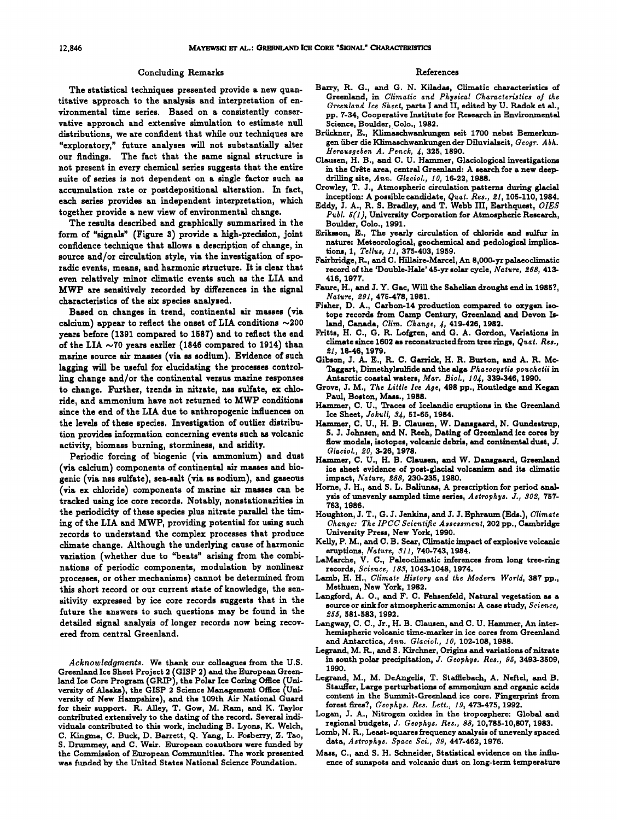#### **Concluding Remarks**

**The statistical techniques presented provide a new quantitative approach to the analysis and interpretation of environmental time series. Based on a consistently conservative approach and extensive simulation to estimate null distributions, we are confident that while our techniques are "exploratory," future analyses will not substantially alter our findings. The fact that the same signal structure is not present in every chemical series suggests that the entire suite of series is not dependent on a single factor such as accumulation rate or postdepositional alteration. In fact, each series provides an independent interpretation, which together provide a new view of environmental change.** 

**The results described and graphically summarized in the form of "signals" (Figure 3) provide a high-precision, joint confidence technique that allows a description of change, in source and/or circulation style, via the investigation of sporadic events, means, and harmonic structure. It is clear that even relatively minor climatic events such as the LIA and MWP are sensitively recorded by differences in the signal characteristics of the six species analyzed.** 

**Based on changes in trend, continental air masses (via calcium) appear to reflect the onset of LIA conditions ~200 years before (1391 compared to 1587) and to reflect the end of the LIA ~70 years earlier (1846 compared to 1914) than marine source air masses (via ss sodium). Evidence of such lagging will be useful for elucidating the processes controlling change and/or the continental versus marine responses to change. Further, trends in nitrate, nss sulfate, ex chloride, and ammonium have not returned to MWP conditions since the end of the LIA due to anthropogenic influences on the levels of these species. Investigation of outlier distribution provides information concerning events such as volcanic activity, biomass burning, storminess, and aridtry.** 

**Periodic forcing of biogenic (via ammonium) and dust (via calcium) components of continental air masses and bio**genic (via nss sulfate), sea-salt (via ss sodium), and gaseous **(via ex chloride) components of marine air masses can be tracked using ice core records. Notably, nonstationarities in the periodicity of these species plus nitrate parallel the timing of the LIA and MWP, providing potential for using such records to understand the complex processes that produce climate change. Although the underlying cause of harmonic variation (whether due to "beats" arising from the combinations of periodic components, modulation by nonlinear processes, or other mechanisms) cannot be determined from this short record or our current state of knowledge, the sensitivity expressed by ice core records suggests that in the future the answers to such questions may be found in the detailed signal analysis of longer records now being recovered from central Greenland.** 

**Acknowledgments. We thaak our colleagues from the U.S. Greenland Ice Sheet Project 2 (GISP 2) and the European Green**land Ice Core Program (GRIP), the Polar Ice Coring Office (Uni**versify of Alaska), the GISP 2 Science Management Office (University of New Hampshire), and the 109th Air National Guard for their support. R. Alley, T. Gow, M. Ram, and K. Taylor contributed extensively to the dating of the record. Several individuals contributed to this work, including B. Lyons, K. Welch, C. Kingma, C. Buck, D. Barrett, Q. Yang, L. Fosberry, Z. Tao,**  S. Drummey, and C. Weir. European coauthors were funded by **the Commission of European Communities. The work presented was funded by the United States National Science Foundation.** 

#### **References**

- **Barry, R. G., and G. N. Kiladas, Climatic characteristics of**  Greenland, in Climatic and Physical Characteristics of the **Greenland Ice Sheet, parts ! and II, edited by U. Radok et pp. 7-34, Cooperative Institute for Research in Environmental Science, Boulder, Colo., 1982.**
- **Briickner, E., Klimaschwankungen seit 1700 nebst Bemerkun**gen über die Klimaschwankungen der Diluvialzeit, Geogr. Abh. **Herausgeben A. Penck, •, 325, 1890.**
- **Clausen, H. B., and C. U. Hammer, Glaciological investigations**  in the Crête area, central Greenland: A search for a new deepdrilling site, Ann. Glaciol., 10, 16-22, 1988.
- **Crowley, T. \$., Atmospheric circulation patterns during glacial inception: A possible candidate, Quat. Res., œ1,105-110, 1984.**
- **Eddy, \$. A., R. S. Bradley, and T. Webb III, Earthquest, OIES Publ. 5(1), University Corporation for Atmospheric Research, Boulder, Colo., 1991.**
- **Eriksson, E., The yearly circulation of chloride and sulfur in nature: Meteorological, geochemical and pedologlcal implications, 1, Tellus, 11, 375-403, 1959.**
- **Fairbridge, R., and C. Hillaire-Marcel, An 8,000-yr palaeoclimatic record of the 'Double-Hale' 45-yr solar cycle, Nature, 268, 413- 416, 1977.**
- **Faure, H., and J. Y. Gac, Will the Sahelian drought end in 19857, Nature, 291,475-478, 1981.**
- **Fisher, D. A., Carbon-14 production compared to oxygen isotope records from Camp Century, Greenland and Devon**  land, Canada, Clim. Change, 4, 419-426, 1982.
- **Fritts, H. C., G. R. Lofgren, and G. A. Gordon, Variations in**  climate since 1602 as reconstructed from tree rings, Quat. Res., **t•I, 18-46, 1979.**
- **Gibson, \$. A. E., R. C. Garrick, H. R. Burton, and A. R. Mc-**Taggart, Dimethylsulfide and the alga *Phaeocystis pouchetii* in **Antarctic coastal waters, Mar. Biol., 10•4, 339-346, 1990.**
- **Grove, J. M., The Little Ice Age, 498 pp., Routledge and Kegan Paul, Boston, Mass., 1988.**
- Hammer, C. U., Traces of Icelandic eruptions in the Greenland **Ice Sheet, Jok•ll, \$g, 51-65, 1984.**
- **Hammer, C. U., H. B. Clausen, W. Dansgaard, N. Gundestrup,**  S. J. Johnsen, and N. Reeh, Dating of Greenland ice cores by **flow models, isotopes, volcanic debris, and continental dust, J. Glaciol., 20, 3-26, 1978.**
- **Hammer, C. U., H. B. Clausen, and W. Dansgaard, Greenland ice sheet evidence of post-glacial volcanism and its climatic impact, Nature, 288, 230-235, 1980.**
- **Horne, \$. H., and S. L. Baliunas, A prescription for period analysis of unevenly sampled time series, Astrophys. J., 302, 757- 763, 1986.**
- **Houghton, J. T., O. J. Jenkins, and J. J. Ephraum (Eds.), Climate Change: The IPCC Scientific Assessment, 202 pp., Cambridge University Press, New York, 1990.**
- **Kelly, P.M., and C. B. Sear, Climatic impact of explosive volcanic eruptions, Nature, .911, 740-743, 1984.**
- **LaMarche, V. C., Palcoclimatic inferences from long tree-ring records, Science, 18.9, 1043-1048, 1974.**
- **Lamb, H. H., Climate History and the Modern World, 387 pp., Methuen, New York, 1982.**
- Langford, A. O., and F. C. Fehsenfeld, Natural vegetation as a **source or sink for atmospheric axnmonia: A case study, Science, 255, 581-583, 1992.**
- Langway, C. C., Jr., H. B. Clausen, and C. U. Hammer, An inter**hemispheric volcanic time-marker in ice cores from Greenland •nd Antarctica, Ann. Glaciol., I0, 102-108, 1988.**
- **Legrand, M. R., and S. Kirckner, Origins and variations of nitrate in south polar precipitation, J. Geophys. Res., 95, 3493-3509, 1990.**
- Legrand, M., M. DeAngelis, T. Stafflebach, A. Neftel, and B. **Stauffer, Large perturbations of ammonium and organic acids content in the Summit-Greenland ice core. Fingerprint from forest fires?, Geophys. Res. Left., 19, 473-475, 1992.**
- **Logan, J. A., Nitrogen oxides in the troposphere: Global and regionalbudgets, J. Geophys. Res., 88, 10,785-10,807, 1983.**
- **Lomb, N. R., Least-squares frequency analysis of unevenly spaced**  data, Astrophys. Space Sci., 39, 447-462, 1976.
- Mass, C., and S. H. Schneider, Statistical evidence on the influ**ence of sunspots and volcanic dust on long-term temperature**